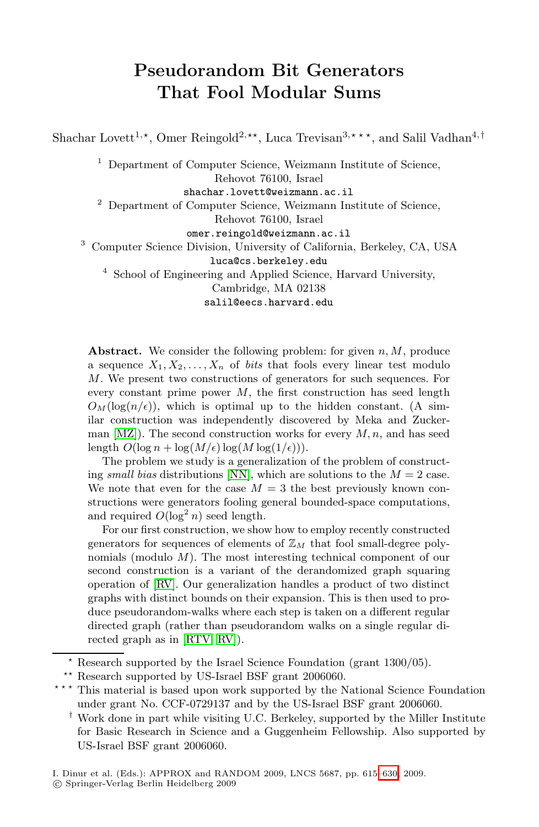# **Pseudorandom Bit Generators That Fool Modular Sums**

Shachar Lovett<sup>1,\*</sup>, Omer Reingold<sup>2,\*\*</sup>, Luca Trevisan<sup>3,\*\*\*</sup>, and Salil Vadhan<sup>4,†</sup>

<sup>1</sup> Department of Computer Science, Weizmann Institute of Science, Rehovot 76100, Israel

shachar.lovett@weizmann.ac.il

<sup>2</sup> Department of Computer Science, Weizmann Institute of Science,

Rehovot 76100, Israel

omer.reingold@weizmann.ac.il

<sup>3</sup> Computer Science Division, University of California, Berkeley, CA, USA

luca@cs.berkeley.edu

<sup>4</sup> School of Engineering and Applied Science, Harvard University,

Cambridge, MA 02138

salil@eecs.harvard.edu

**Abstract.** We consider the following problem: for given  $n, M$ , produce a sequ[ence](#page-15-0)  $X_1, X_2, \ldots, X_n$  of *bits* that fools every linear test modulo M. We present two constructions of generators for such sequences. For every constant prime power  $M$ , the first construction has seed length  $O_M(\log(n/\epsilon))$ , which is optimal up to the hidden constant. (A sim-<br>ilar construction was independently discovered by Meka and Zucker ilar construction was independently discovered by Meka and Zuckerman  $[MZ]$ ). The second construction works for every M, n, and has seed length  $O(\log n + \log(M/\epsilon))\log(M \log(1/\epsilon)))$ .<br>The problem we study is a generalization.

The problem we study is a generalization of the problem of constructing *small bias* distributions [NN], which are solutions to the  $M = 2$  case. We note that even for the case  $M = 3$  the best previously known constructions were generators fooling general bounded-space computations, [and](#page-15-1) required  $O(\log^2 n)$  seed length.

F[or](#page-15-2) [ou](#page-15-2)r first construction, we show how to employ recently constructed generators for sequences of elements of  $\mathbb{Z}_M$  that fool small-degree polynomials (modulo M). The most interesting technical component of our second construction is a variant of the derandomized graph squaring operation of [RV]. Our generalization handles a product of two distinct graphs with distinct bounds on their expansion. This is then used to produce pseudorandom-walks where each step is taken on a different regular directed graph (rather than pseudorandom walks on a single regular directed graph as in [RTV, RV]).

<sup>-</sup> Research supported by the Israel Scien[ce](#page-15-3) [Fo](#page-15-3)undation (grant 1300/05).

<sup>\*\*</sup> Research supported by US-Israel BSF grant 2006060.

<sup>\*\*\*</sup> This material is based upon work supported by the National Science Foundation under grant No. CCF-0729137 and by the US-Israel BSF grant 2006060.

<sup>†</sup> Work done in part while visiting U.C. Berkeley, supported by the Miller Institute for Basic Research in Science and a Guggenheim Fellowship. Also supported by US-Israel BSF grant 2006060.

I. Dinur et al. (Eds.): APPROX and RANDOM 2009, LNCS 5687, pp. 615–630, 2009. -c Springer-Verlag Berlin Heidelberg 2009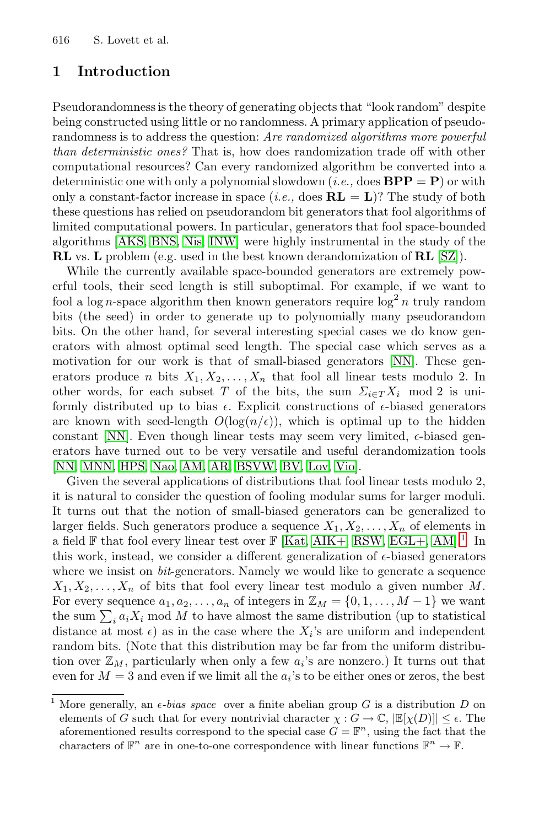## **1 Introduction**

Pseudorandomness is the theory of generating objects that "look random" despite [bein](#page-14-0)[g con](#page-15-4)[struct](#page-14-1)ed using little or no randomness. A primary application of pseudorandomness is to address the question: *Are randomiz[ed a](#page-15-5)lgorithms more powerful than deterministic ones?* That is, how does randomization trade off with other computational resources? Can every randomized algorithm be converted into a deterministic one with only a polynomial slowdown (*i.e.*, does  $BPP = P$ ) or with only a constant-factor increase in space  $(i.e., \text{ does } \mathbf{RL} = \mathbf{L})$ ? The study of both these questions has relied on pseudorandom bit generators that fool algorithms of limited computational powers. In particular, generators that fool space-bounded algorithms [AKS, BNS, Nis, INW] were hi[ghly](#page-15-0) instrumental in the study of the **RL** vs. **L** problem (e.g. used in the best known derandomization of **RL** [SZ]).

While the currently available space-bounded generators are extremely powerful tools, their seed length is still suboptimal. For example, if we want to fool a log *n*-space algorithm then known generators require  $\log^2 n$  truly random bits (the seed) in order to generate up to polynomially many pseudorandom bits. On the other hand, for several interesting special cases we do know gen[erat](#page-15-6)[ors w](#page-14-2)[ith a](#page-14-3)[lmost o](#page-14-4)[ptim](#page-14-5)[al se](#page-14-6)[ed le](#page-15-7)ngth. The special case which serves as a motivation for our work is that of small-biased generators [NN]. These generators produce *n* bits  $X_1, X_2, \ldots, X_n$  that fool all linear tests modulo 2. In other words, for each subset T of the bits, the sum  $\Sigma_{i\in T}X_i$  mod 2 is uniformly distributed up to bias  $\epsilon$ . Explicit constructions of  $\epsilon$ -biased generators are known with seed-l[ength](#page-14-7)  $O(\log(n/\epsilon))$  $O(\log(n/\epsilon))$  $O(\log(n/\epsilon))$ , [which](#page-14-9) [is op](#page-14-2)[tim](#page-1-0)al up to the hidden constant [NN]. Even though linear tests may seem very limited,  $\epsilon$ -biased generators have turned out to be very versatile and useful derandomization tools [NN, MNN, HPS, Nao, AM, AR, BSVW, BV, Lov, Vio].

Given the several applications of distributions that fool linear tests modulo 2, it is natural to consider the question of fooling modular sums for larger moduli. It turns out that the notion of small-biased generators can be generalized to larger fields. Such generators produce a sequence  $X_1, X_2, \ldots, X_n$  of elements in a field  $\mathbb F$  that fool every linear test over  $\mathbb F$  [Kat, AIK+, RSW, EGL+, AM].<sup>1</sup> In this work, instead, we consider a different generalization of  $\epsilon$ -biased generators where we insist on *bit*-generators. Namely we would like to generate a sequence  $X_1, X_2, \ldots, X_n$  of bits that fool every linear test modulo a given number M. For every sequence  $a_1, a_2, \ldots, a_n$  of integers in  $\mathbb{Z}_M = \{0, 1, \ldots, M-1\}$  we want the sum  $\sum_i a_i X_i$  mod M to have almost the same distribution (up to statistical distance at most  $\epsilon$ ) as in the case where the  $X_i$ 's are uniform and independent random bits. (Note that this distribution may be far from the uniform distribution over  $\mathbb{Z}_M$ , particularly when only a few  $a_i$ 's are nonzero.) It turns out that even for  $M = 3$  and even if we limit all the  $a_i$ 's to be either ones or zeros, the best

<span id="page-1-0"></span><sup>&</sup>lt;sup>1</sup> More generally, an  $\epsilon$ -*bias space* over a finite abelian group G is a distribution D on close that for every portrivial character  $\chi: G \to \mathbb{C}$  [Eb/D]]  $\leq \epsilon$  The elements of G such that for every nontrivial character  $\chi : G \to \mathbb{C}$ ,  $|\mathbb{E}[\chi(D)]| \leq \epsilon$ . The aforemontioned results correspond to the special case  $G = \mathbb{E}^n$ , using the fact that the aforementioned results correspond to the special case  $G = \mathbb{F}^n$ , using the fact that the characters of  $\mathbb{F}^n$  are in one-to-one correspondence with linear functions  $\mathbb{F}^n \to \mathbb{F}$ .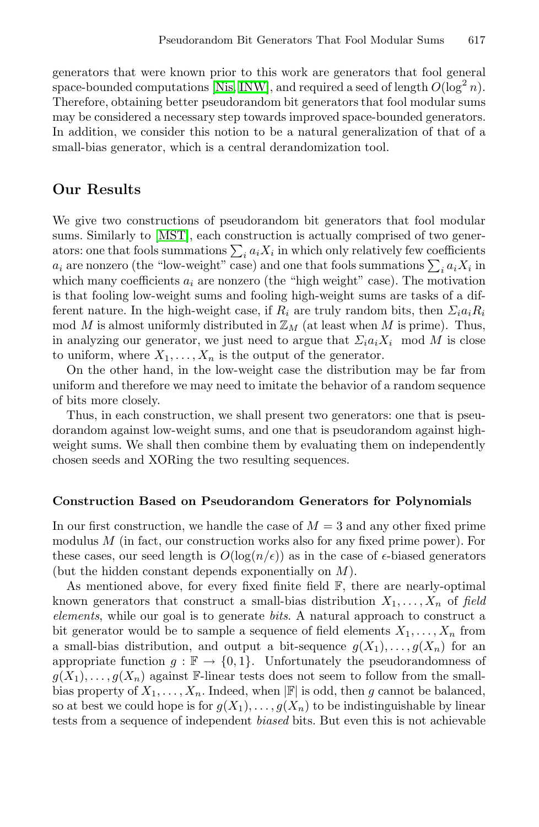generators that were known prior to this work are generators that fool general space-bounded computations [Nis, INW], and required a seed of length  $O(\log^2 n)$ . Therefore, obtaining better pseudorandom bit generators that fool modular sums [may b](#page-15-9)e considered a necessary step towards improved space-bounded generators. In addition, we consider this notion to be a natural generalization of that of a small-bias generator, which is a central derandomization tool.

## **Our Results**

We give two constructions of pseudorandom bit generators that fool modular sums. Similarly to [MST], each construction is actually comprised of two generators: one that fools summations  $\sum_i a_i X_i$  in which only relatively few coefficients  $a_i$  are nonzero (the "low-weight" case) and one that fools summations  $\sum_i a_i X_i$  in which many coefficients  $a_i$  are nonzero (the "high weight" case). The motivation is that fooling low-weight sums and fooling high-weight sums are tasks of a different nature. In the high-weight case, if  $R_i$  are truly random bits, then  $\Sigma_i a_i R_i$ mod M is almost uniformly distributed in  $\mathbb{Z}_M$  (at least when M is prime). Thus, in analyzing our generator, we just need to argue that  $\Sigma_i a_i X_i \mod M$  is close to uniform, where  $X_1, \ldots, X_n$  is the output of the generator.

On the other hand, in the low-weight case the distribution may be far from uniform and therefore we may need to imitate the behavior of a random sequence of bits more closely.

Thus, in each construction, we shall present two generators: one that is pseudorandom against low-weight sums, and one that is pseudorandom against highweight sums. We shall then combine them by evaluating them on independently chosen seeds and XORing the two resulting sequences.

## **Construction Based on Pseudorandom Generators for Polynomials**

In our first construction, we handle the case of  $M = 3$  and any other fixed prime modulus M (in fact, our construction works also for any fixed prime power). For these cases, our seed length is  $O(\log(n/\epsilon))$  as in the case of  $\epsilon$ -biased generators (but the hidden constant depends exponentially on M).

As mentioned above, for every fixed finite field  $\mathbb{F}$ , there are nearly-optimal known generators that construct a small-bias distribution  $X_1, \ldots, X_n$  of *field elements*, while our goal is to generate *bits*. A natural approach to construct a bit generator would be to sample a sequence of field elements  $X_1, \ldots, X_n$  from a small-bias distribution, and output a bit-sequence  $g(X_1),\ldots,g(X_n)$  for an appropriate function  $g : \mathbb{F} \to \{0,1\}$ . Unfortunately the pseudorandomness of  $g(X_1),\ldots,g(X_n)$  against F-linear tests does not seem to follow from the smallbias property of  $X_1, \ldots, X_n$ . Indeed, when  $|\mathbb{F}|$  is odd, then g cannot be balanced, so at best we could hope is for  $g(X_1), \ldots, g(X_n)$  to be indistinguishable by linear tests from a sequence of independent *biased* bits. But even this is not achievable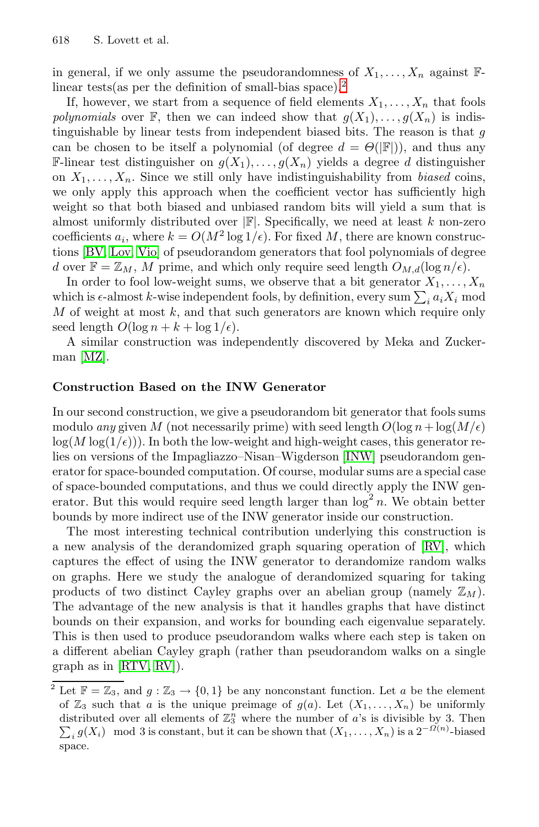in general, if we only assume the pseudorandomness of  $X_1, \ldots, X_n$  against  $\mathbb{F}$ linear tests(as per the definition of small-bias space).<sup>2</sup>

If, however, we start from a sequence of field elements  $X_1, \ldots, X_n$  that fools *polynomials* over  $\mathbb{F}$ , then we can indeed show that  $g(X_1),...,g(X_n)$  is indis[t](#page-15-7)inguishable by linear tests from independent biased bits. The reason is that  $q$ can be chosen to be itself a polynomial (of degree  $d = \Theta(|\mathbb{F}|)$ ), and thus any F-linear test distinguisher on  $q(X_1), \ldots, q(X_n)$  yields a degree d distinguisher on  $X_1, \ldots, X_n$ . Since we still only have indistinguishability from *biased* coins, we only apply this approach when the coefficient vector has sufficiently high weight so that both biased and unbiased random bits will yield a sum that is almost uniformly distributed over  $\mathbb{F}$ . Specifically, we need at least k non-zero coefficients  $a_i$ , where  $k = O(M^2 \log 1/\epsilon)$ . For fixed M, there are known constructions [BV, Lov, Vio] of pseudorandom generators that fool polynomials of degree d over  $\mathbb{F} = \mathbb{Z}_M$ , M prime, and which only require seed length  $O_{M,d}(\log n/\epsilon)$ .

In order to fool low-weight sums, we observe that a bit generator  $X_1, \ldots, X_n$ which is  $\epsilon$ -almost *k*-wise independent fools, by definition, every sum  $\sum_i a_i X_i$  mod  $M$  of weight at most  $k$ , and that such generators are known which require only seed length  $O(\log n + k + \log 1/\epsilon)$ .

A similar construction was ind[epend](#page-14-1)ently discovered by Meka and Zuckerman [MZ].

## **Construction Based on the INW Generator**

In our second construction, we give a pseudorandom bit generator that fools sums modulo *any* given M (not necessarily prime) with [seed](#page-15-2) length  $O(\log n + \log(M/\epsilon))$  $log(M log(1/\epsilon))$ . In both the low-weight and high-weight cases, this generator relies on versions of the Impagliazzo–Nisan–Wigderson [INW] pseudorandom generator for space-bounded computation. Of course, modular sums are a special case of space-bounded computations, and thus we could directly apply the INW generator. But this would require seed length larger than  $\log^2 n$ . We obtain better bounds by more indirect use of the INW generator inside our construction.

The most interesting technical contribution underlying this construction is [a n](#page-15-2)ew analysis of the derandomized graph squaring operation of [RV], which captures the effect of using the INW generator to derandomize random walks on graphs. Here we study the analogue of derandomized squaring for taking products of two distinct Cayley graphs over an abelian group (namely  $\mathbb{Z}_M$ ). The advantage of the new analysis is that it handles graphs that have distinct bounds on their expansion, and works for bounding each eigenvalue separately. This is then used to produce pseudorandom walks where each step is taken on a different abelian Cayley graph (rather than pseudorandom walks on a single graph as in [RTV, RV]).

<sup>&</sup>lt;sup>2</sup> Let  $\mathbb{F} = \mathbb{Z}_3$ , and  $g : \mathbb{Z}_3 \to \{0,1\}$  be any nonconstant function. Let a be the element of  $\mathbb{Z}_3$  such that a is the unique preimage of  $g(a)$ . Let  $(X_1,\ldots,X_n)$  be uniformly distributed over all elements of  $\mathbb{Z}_3^n$  where the number of a's is divisible by 3. Then  $\sum a(X_i)$  mod 3 is constant, but it can be shown that  $(X_i, Y_i)$  is a  $2^{-\Omega(n)}$  biased  $\sum_i g(X_i)$  mod 3 is constant, but it can be shown that  $(X_1, \ldots, X_n)$  is a  $2^{-\Omega(n)}$ -biased space.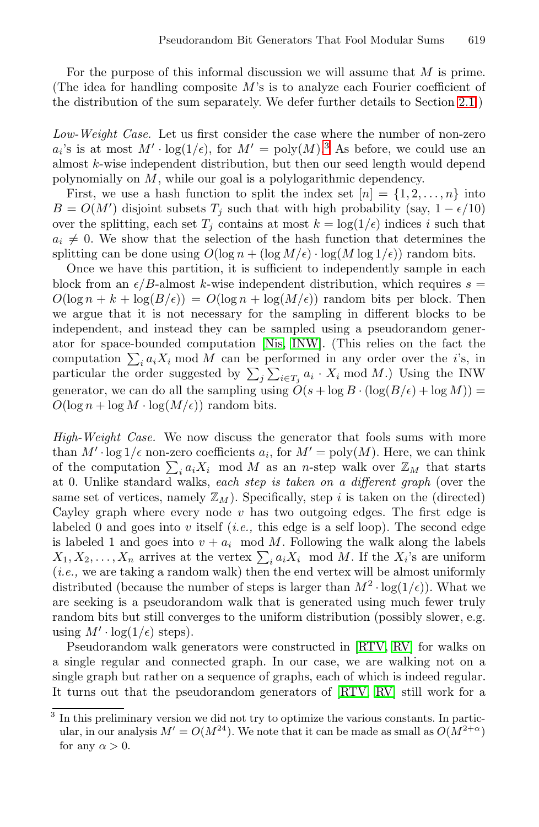For the purpose of this informal discussion we will assume that M is prime. (The idea for handling composite  $M$ 's is to analyze each Fourier coefficient of the distribution of the sum separately. We defer further details to Section 2.1.)

*Low-Weight Case.* Let us first consider the case where the number of non-zero  $a_i$ 's is at most  $M' \cdot \log(1/\epsilon)$ , for  $M' = \text{poly}(M)$ .<sup>3</sup> As before, we could use an almost k-wise independent distribution, but then our seed length would depend polynomially on M, while our goal is a polylogarithmic dependency.

First, we use a hash function to split the index set  $[n] = \{1, 2, \ldots, n\}$  into  $B = O(M')$  disjoint subsets  $T_j$  such that with high probability (say,  $1 - \epsilon/10$ ) over the splitting, e[ach](#page-15-4) s[et](#page-14-1)  $T_i$  contains at most  $k = \log(1/\epsilon)$  indices i such that  $a_i \neq 0$ . We show that the selection of the hash function that determines the splitting can be done using  $O(\log n + (\log M/\epsilon) \cdot \log(M \log 1/\epsilon))$  random bits.

Once we have this partition, it is sufficient to independently sample in each block from an  $\epsilon/B$ -almost k-wise independent distribution, which requires  $s =$  $O(\log n + k + \log(B/\epsilon)) = O(\log n + \log(M/\epsilon))$  random bits per block. Then we argue that it is not necessary for the sampling in different blocks to be independent, and instead they can be sampled using a pseudorandom generator for space-bounded computation [Nis, INW]. (This relies on the fact the computation  $\sum_i a_i X_i \mod M$  can be performed in any order over the *i*'s, in particular the order suggested by  $\sum_j \sum_{i \in T_j} a_i \cdot X_i \mod M$ . Using the INW generator, we can do all the sampling using  $\tilde{O}(s + \log B \cdot (\log(B/\epsilon) + \log M)) =$  $O(\log n + \log M \cdot \log(M/\epsilon))$  random bits.

*High-Weight Case.* We now discuss the generator that fools sums with more than  $M' \cdot \log 1/\epsilon$  non-zero coefficients  $a_i$ , for  $M' = \text{poly}(M)$ . Here, we can think of the computation  $\sum_i a_i X_i$  mod M as an n-step walk over  $\mathbb{Z}_M$  that starts at 0. Unlike standard walks, *each step is taken on a different graph* (over the same set of vertices, namely  $\mathbb{Z}_M$ ). Specifically, step i is taken on the (directed) Cayley graph where every node  $v$  has two outgoing edges. The first edge is labeled 0 and goes into v itself (*i.e.,* [this](#page-15-1) e[dge](#page-15-2) is a self loop). The second edge is labeled 1 and goes into  $v + a_i \mod M$ . Following the walk along the labels  $X_1, X_2, \ldots, X_n$  arrives at the vertex  $\sum_i a_i X_i \mod M$ . If the  $X_i$ 's are uniform (*i.e.,* we are taking a random wal[k\) then](#page-15-1) [the](#page-15-2) end vertex will be almost uniformly distributed (because the number of steps is larger than  $M^2 \cdot \log(1/\epsilon)$ ). What we are seeking is a pseudorandom walk that is generated using much fewer truly random bits but still converges to the uniform distribution (possibly slower, e.g. using  $M' \cdot \log(1/\epsilon)$  steps).

<span id="page-4-0"></span>Pseudorandom walk generators were constructed in [RTV, RV] for walks on a single regular and connected graph. In our case, we are walking not on a single graph but rather on a sequence of graphs, each of which is indeed regular. It turns out that the pseudorandom generators of [RTV, RV] still work for a

<sup>3</sup> In this preliminary version we did not try to optimize the various constants. In particular, in our analysis  $M' = O(M^{24})$ . We note that it can be made as small as  $O(M^{2+\alpha})$ for any  $\alpha > 0$ .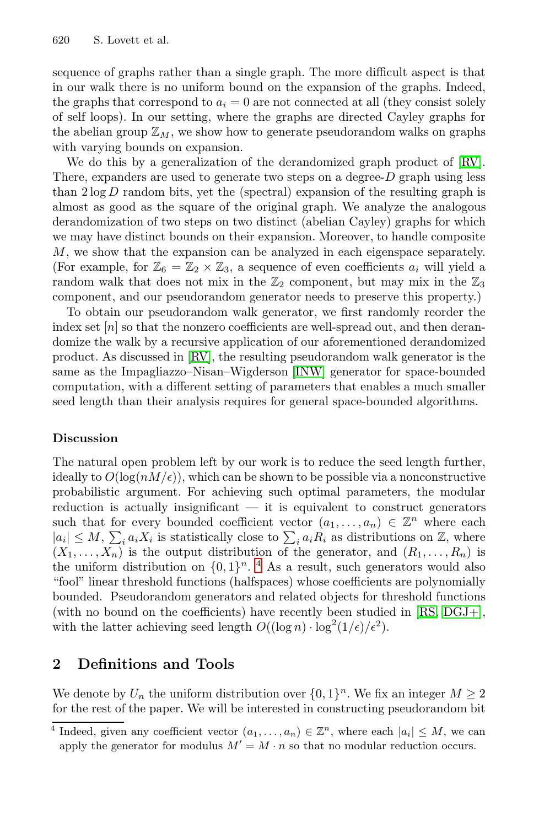sequence of graphs rather than a single graph. The more difficult aspect is that in our walk there is no uniform bound on the expansion of the graphs. Indeed, the graphs that correspond to  $a_i = 0$  are not connected at all (they consist solely of self loops). In our setting, where the graphs are directed Cayley graphs for the abelian group  $\mathbb{Z}_M$ , we show how to generate pseudorandom walks on graphs with varying bounds on expansion.

We do this by a generalization of the derandomized graph product of [RV]. There, expanders are used to generate two steps on a degree- $D$  graph using less than  $2 \log D$  random bits, yet the (spectral) expansion of the resulting graph is almost as good as the square of the original graph. We analyze the analogous derandomization of two steps on two distinct (abelian Cayley) graphs for which we m[ay ha](#page-15-2)ve distinct bounds on their expansion. Moreover, to handle composite M, we show that the ex[pansio](#page-14-1)n can be analyzed in each eigenspace separately. (For example, for  $\mathbb{Z}_6 = \mathbb{Z}_2 \times \mathbb{Z}_3$ , a sequence of even coefficients  $a_i$  will yield a random walk that does not mix in the  $\mathbb{Z}_2$  component, but may mix in the  $\mathbb{Z}_3$ component, and our pseudorandom generator needs to preserve this property.)

To obtain our pseudorandom walk generator, we first randomly reorder the index set  $[n]$  so that the nonzero coefficients are well-spread out, and then derandomize the walk by a recursive application of our aforementioned derandomized product. As discussed in [RV], the resulting pseudorandom walk generator is the same as the Impagliazzo–Nisan–Wigderson [INW] generator for space-bounded computation, with a different setting of parameters that enables a much smaller seed length than their analysis requires for general space-bounded algorithms.

## **Discussion**

The natural open [pr](#page-5-0)oblem left by our work is to reduce the seed length further, ideally to  $O(\log(nM/\epsilon))$ , which can be shown to be possible via a nonconstructive probabilistic argument. For achieving such op[tima](#page-15-10)[l param](#page-14-10)eters, the modular reduction is actually insignificant  $-$  it is equivalent to construct generators such that for every bounded coefficient vector  $(a_1,...,a_n) \in \mathbb{Z}^n$  where each  $|a_i| \leq M$ ,  $\sum_i a_i X_i$  is statistically close to  $\sum_i a_i R_i$  as distributions on  $\mathbb{Z}$ , where  $(X_1,\ldots,X_n)$  is the output distribution of the generator, and  $(R_1,\ldots,R_n)$  is the uniform distribution on  $\{0, 1\}^n$ . <sup>4</sup> As a result, such generators would also "fool" linear threshold functions (halfspaces) whose coefficients are polynomially bounded. Pseudorandom generators and related objects for threshold functions (with no bound on the coefficients) have recently been studied in [RS, DGJ+], with the latter achieving seed length  $O((\log n) \cdot \log^2(1/\epsilon)/\epsilon^2)$ .

# <span id="page-5-0"></span>**2 Definitions and Tools**

We denote by  $U_n$  the uniform distribution over  $\{0, 1\}^n$ . We fix an integer  $M \geq 2$ for the rest of the paper. We will be interested in constructing pseudorandom bit

Indeed, given any coefficient vector  $(a_1,...,a_n) \in \mathbb{Z}^n$ , where each  $|a_i| \leq M$ , we can apply the generator for modulus  $M' = M \cdot n$  so that no modular reduction occurs.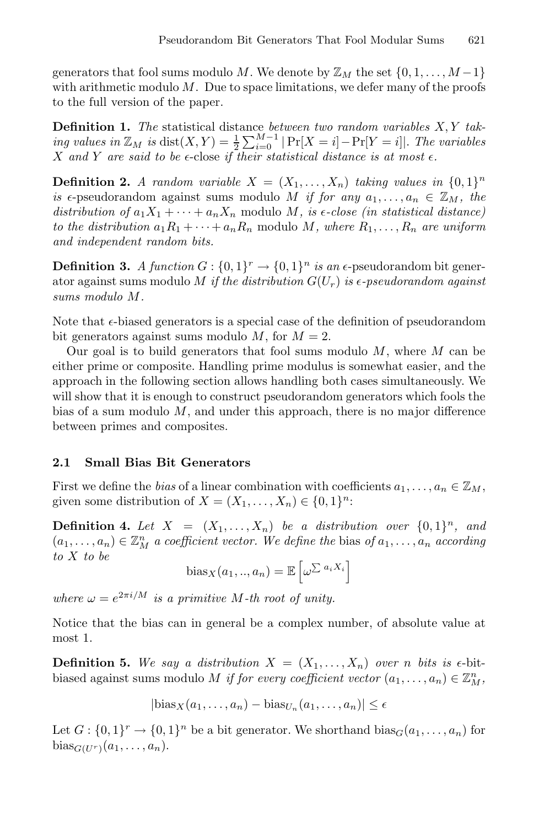generators that fool sums modulo M. We denote by  $\mathbb{Z}_M$  the set  $\{0, 1, \ldots, M-1\}$ with arithmetic modulo  $M$ . Due to space limitations, we defer many of the proofs to the full version of the paper.

**Definition 1.** *The* statistical distance *between two random variables* X, Y *taking values in*  $\mathbb{Z}_M$  *is* dist $(X, Y) = \frac{1}{2} \sum_{i=0}^{M-1} |\Pr[X = i] - \Pr[Y = i]|$ . The variables X and Y are said to be  $\epsilon$ -close if their statistical distance is at most  $\epsilon$ .

**Definition 2.** A random variable  $X = (X_1, \ldots, X_n)$  taking values in  $\{0,1\}^n$ *is*  $\epsilon$ -pseudorandom against sums modulo M *if for any*  $a_1, \ldots, a_n \in \mathbb{Z}_M$ , the *distribution of*  $a_1X_1 + \cdots + a_nX_n$  modulo M, is  $\epsilon$ -close (in statistical distance) *to the distribution*  $a_1R_1 + \cdots + a_nR_n$  modulo M, where  $R_1, \ldots, R_n$  are uniform *and independent random bits.*

**Definition 3.** *A function*  $G: \{0,1\}^r \to \{0,1\}^n$  *is an*  $\epsilon$ -pseudorandom bit generator against sums modulo M *if the distribution*  $G(U_r)$  *is*  $\epsilon$ -pseudorandom against *sums modulo* M*.*

Note that  $\epsilon$ -biased generators is a special case of the definition of pseudorandom bit generators against sums modulo M, for  $M = 2$ .

Our goal is to build generators that fool sums modulo  $M$ , where  $M$  can be either prime or composite. Handling prime modulus is somewhat easier, and the approach in the following section allows handling both cases simultaneously. We will show that it is enough to construct pseudorandom generators which fools the bias of a sum modulo  $M$ , and under this approach, there is no major difference between primes and composites.

## **2.1 Small Bias Bit Generators**

First we define the *bias* of a linear combination with coefficients  $a_1, \ldots, a_n \in \mathbb{Z}_M$ , given some distribution of  $X = (X_1, \ldots, X_n) \in \{0,1\}^n$ :

**Definition 4.** Let  $X = (X_1, \ldots, X_n)$  be a distribution over  $\{0,1\}^n$ , and  $(a_1, \ldots, a_n) \in \mathbb{Z}_M^n$  *a coefficient vector. We define the* bias of  $a_1, \ldots, a_n$  *according to* X *to be*

bias<sub>X</sub>
$$
(a_1, ..., a_n)
$$
 =  $\mathbb{E}\left[\omega^{\sum a_i X_i}\right]$ 

*where*  $\omega = e^{2\pi i/M}$  *is a primitive M*-th root of unity.

Notice that the bias can in general be a complex number, of absolute value at most 1.

**Definition 5.** We say a distribution  $X = (X_1, \ldots, X_n)$  over n bits is  $\epsilon$ -bitbiased against sums modulo M *if for every coefficient vector*  $(a_1, \ldots, a_n) \in \mathbb{Z}_{M}^n$ ,

$$
|\text{bias}_X(a_1,\ldots,a_n) - \text{bias}_{U_n}(a_1,\ldots,a_n)| \leq \epsilon
$$

Let  $G: \{0,1\}^r \to \{0,1\}^n$  be a bit generator. We shorthand  $bias_G(a_1,\ldots,a_n)$  for bias $G(U^r)(a_1,\ldots,a_n)$ .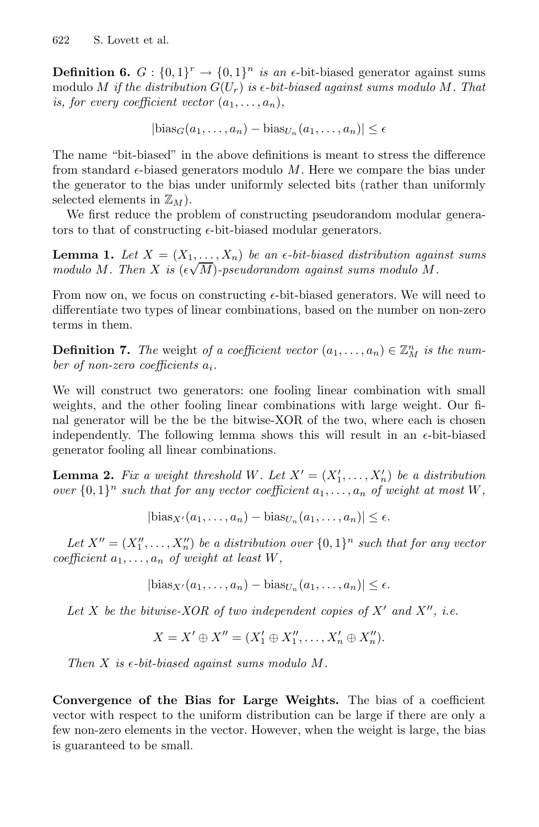**Definition 6.**  $G: \{0,1\}^r \rightarrow \{0,1\}^n$  *is an*  $\epsilon$ -bit-biased generator against sums modulo M *if the distribution*  $G(U_r)$  *is*  $\epsilon$ -*bit-biased against sums modulo* M. That *is, for every coefficient vector*  $(a_1, \ldots, a_n)$ *,* 

 $|\text{bias}_G(a_1,\ldots,a_n) - \text{bias}_{U_n}(a_1,\ldots,a_n)| \leq \epsilon$ 

The name "bit-biased" in the above definitions is meant to stress the difference from standard  $\epsilon$ -biased generators modulo M. Here we compare the bias under the generator to the bias under uniformly selected bits (rather than uniformly selected elements in  $\mathbb{Z}_M$ ).

We first reduce the problem of constructing pseudorandom modular generators to that of constructing  $\epsilon$ -bit-biased modular generators.

**Lemma 1.** Let  $X = (X_1, \ldots, X_n)$  be an  $\epsilon$ -bit-biased distribution against sums *modulo* M. Then X is  $(\epsilon \sqrt{M})$ -pseudorandom against sums modulo M.

From now on, we focus on constructing  $\epsilon$ -bit-biased generators. We will need to differentiate two types of linear combinations, based on the number on non-zero terms in them.

**Definition 7.** The weight of a coefficient vector  $(a_1, \ldots, a_n) \in \mathbb{Z}_M^n$  is the num*ber of non-zero coefficients* ai*.*

We will construct two generators: one fooling linear combination with small weights, and the other fooling linear combinations with large weight. Our final generator will be the be the bitwise-XOR of the two, where each is chosen independently. The following lemma shows this will result in an  $\epsilon$ -bit-biased generator fooling all linear combinations.

**Lemma 2.** Fix a weight threshold W. Let  $X' = (X'_1, \ldots, X'_n)$  be a distribution *over*  $\{0,1\}^n$  *such that for any vector coefficient*  $a_1, \ldots, a_n$  *of weight at most* W,

 $|\text{bias}_{X'}(a_1,\ldots,a_n) - \text{bias}_{U_n}(a_1,\ldots,a_n)| \leq \epsilon.$ 

Let  $X'' = (X_1'', \ldots, X_n'')$  be a distribution over  $\{0,1\}^n$  such that for any vector *coefficient*  $a_1, \ldots, a_n$  *of weight at least*  $W$ *,* 

 $|\text{bias}_{X'}(a_1,\ldots,a_n)-\text{bias}_{U_n}(a_1,\ldots,a_n)|\leq \epsilon.$ 

Let X be the bitwise-XOR of two independent copies of  $X'$  and  $X''$ , i.e.

$$
X = X' \oplus X'' = (X'_1 \oplus X''_1, \dots, X'_n \oplus X''_n).
$$

*Then*  $X$  *is*  $\epsilon$ -*bit-biased against sums modulo M.* 

<span id="page-7-0"></span>**Convergence of the Bias for Large Weights.** The bias of a coefficient vector with respect to the uniform distribution can be large if there are only a few non-zero elements in the vector. However, when the weight is large, the bias is guaranteed to be small.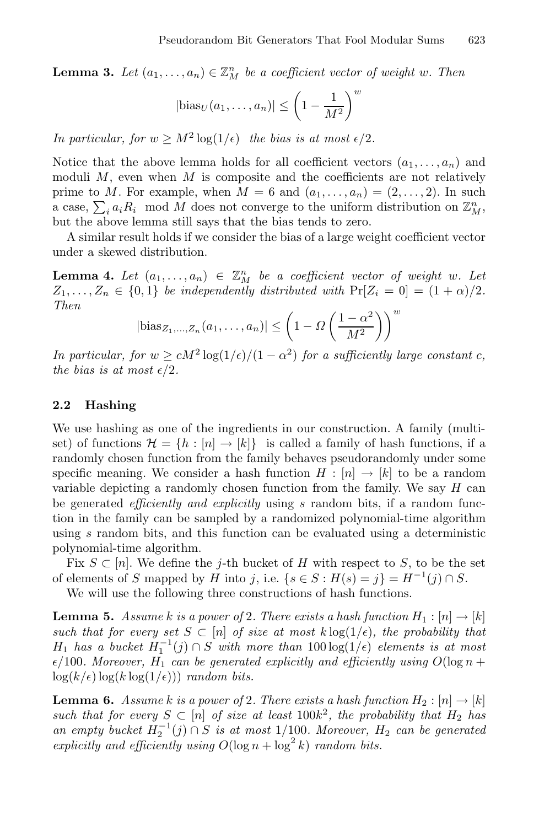**Lemma 3.** Let  $(a_1, \ldots, a_n) \in \mathbb{Z}_M^n$  be a coefficient vector of weight w. Then

$$
|\text{bias}_U(a_1,\ldots,a_n)| \le \left(1 - \frac{1}{M^2}\right)^w
$$

*In particular, for*  $w \geq M^2 \log(1/\epsilon)$  *the bias is at most*  $\epsilon/2$ *.* 

Notice that the above lemma holds for all coefficient vectors  $(a_1, \ldots, a_n)$  and moduli  $M$ , even when  $M$  is composite and the coefficients are not relatively prime to M. For example, when  $M = 6$  and  $(a_1, \ldots, a_n) = (2, \ldots, 2)$ . In such a case,  $\sum_i a_i R_i$  mod M does not converge to the uniform distribution on  $\mathbb{Z}_M^n$ , but the above lemma still says that the bias tends to zero.

<span id="page-8-0"></span>A similar result holds if we consider the bias of a large weight coefficient vector under a skewed distribution.

**Lemma 4.** Let  $(a_1, \ldots, a_n) \in \mathbb{Z}_M^n$  be a coefficient vector of weight w. Let  $Z_1,\ldots,Z_n \in \{0,1\}$  *be independently distributed with*  $\Pr[Z_i = 0] = (1+\alpha)/2$ *. Then*

$$
|\text{bias}_{Z_1,\dots,Z_n}(a_1,\dots,a_n)| \le \left(1 - \Omega\left(\frac{1-\alpha^2}{M^2}\right)\right)^w
$$

*In particular, for*  $w \ge cM^2 \log(1/\epsilon)/(1-\alpha^2)$  *for a sufficiently large constant c, the bias is at most*  $\epsilon/2$ *.* 

## **2.2 Hashing**

We use hashing as one of the ingredients in our construction. A family (multiset) of functions  $\mathcal{H} = \{h : [n] \to [k]\}\$ is called a family of hash functions, if a randomly chosen function from the family behaves pseudorandomly under some specific meaning. We consider a hash function  $H : [n] \to [k]$  to be a random variable depicting a randomly chosen function from the family. We say  $H$  can be generated *efficiently and explicitly* using s random bits, if a random function in the family can be sampled by a randomized polynomial-time algorithm using s random bits, and this function can be evaluated using a deterministic polynomial-time algorithm.

Fix  $S \subset [n]$ . We define the j-th bucket of H with respect to S, to be the set of elements of S mapped by H into j, i.e.  $\{s \in S : H(s) = j\} = H^{-1}(j) \cap S$ .

We will use the following three constructions of hash functions.

**Lemma 5.** *Assume* k *is a power of* 2*. There exists a hash function*  $H_1: [n] \rightarrow [k]$ *such that for every set*  $S \subset [n]$  *of size at most*  $k \log(1/\epsilon)$ *, the probability that*  $H_1$  *has a bucket*  $H_1^{-1}(j) ∩ S$  *with more than*  $100 log(1/\epsilon)$  *elements is at most*  $\epsilon/100$ *. Moreover,*  $H_1$  *can be generated explicitly and efficiently using*  $O(\log n +$  $\log(k/\epsilon) \log(k \log(1/\epsilon))$  *random bits.* 

**Lemma 6.** *Assume k is a power of* 2*. There exists a hash function*  $H_2: [n] \rightarrow [k]$ *such that for every*  $S \subset [n]$  *of size at least* 100 $k^2$ *, the probability that*  $H_2$  *has an empty bucket*  $H_2^{-1}(j) ∩ S$  *is at most* 1/100*. Moreover,*  $H_2$  *can be generated explicitly and efficiently using*  $O(\log n + \log^2 k)$  *random bits.*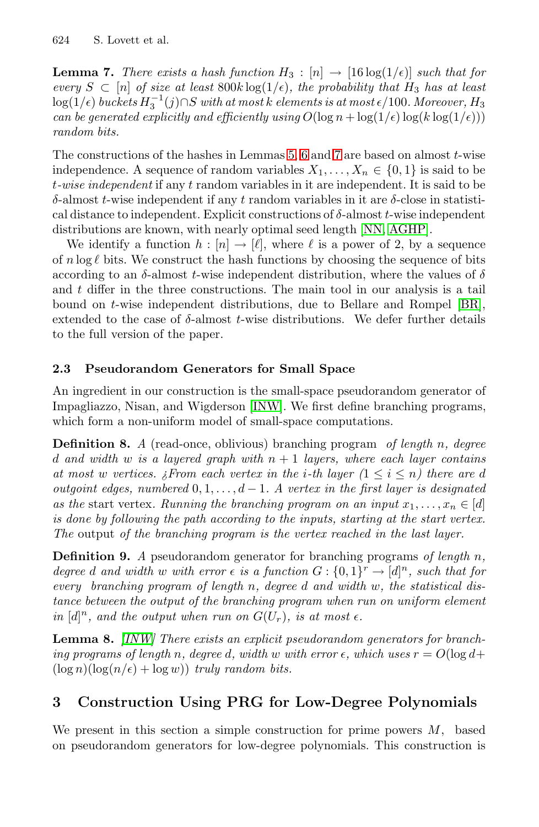**Lemma 7.** *There exists a hash function*  $H_3 : [n] \rightarrow [16 \log(1/\epsilon)]$  *such that for every*  $S \subset [n]$  *of size at least* 800 $k \log(1/\epsilon)$ *, the probability that*  $H_3$  *has at least*  $\log(1/\epsilon)$  buckets  $H_3^{-1}(j)$ ∩S with at most  $k$  elements is at most  $\epsilon/100$ . Moreover,  $H_3$ *can be generated explicitly and efficien[tly us](#page-15-0)[ing](#page-14-11)*  $O(\log n + \log(1/\epsilon) \log(k \log(1/\epsilon)))$ *random bits.*

The constructions of the hashes in Lemmas 5, 6 and 7 are based on almost  $t$ -wise independence. A sequence of random variables  $X_1, \ldots, X_n \in \{0, 1\}$  is said to be t*-wise independent* if any t random variables in it are ind[epen](#page-14-12)dent. It is said to be δ-almost t-wise independent if any t random variables in it are δ-close in statistical distance to independent. Explicit constructions of  $\delta$ -almost t-wise independent distributions are known, with nearly optimal seed length [NN, AGHP].

We identify a function  $h : [n] \to [\ell],$  where  $\ell$  is a power of 2, by a sequence of  $n \log \ell$  bits. We construct the hash functions by choosing the sequence of bits according to an  $\delta$ -almost t-wise independent distribution, where the values of  $\delta$ and  $t$  differ in th[e thre](#page-14-1)e constructions. The main tool in our analysis is a tail bound on t-wise independent distributions, due to Bellare and Rompel [BR], extended to the case of  $\delta$ -almost t-wise distributions. We defer further details to the full version of the paper.

## **2.3 Pseudorandom Generators for Small Space**

An ingredient in our construction is the small-space pseudorandom generator of Impagliazzo, Nisan, and Wigderson [INW]. We first define branching programs, which form a non-uniform model of small-space computations.

**Definition 8.** *A* (read-once, oblivious) branching program *of length* n*, degree* d and width w is a layered graph with  $n + 1$  layers, where each layer contains *at most* w vertices.  $\lambda$  From each vertex in the *i*-th layer  $(1 \leq i \leq n)$  there are d *outgoint edges, numbered* 0, 1,...,d − 1*. A vertex in the first layer is designated* as the start vertex. Running the branching program on an input  $x_1, \ldots, x_n \in [d]$ *is done by following the path according to the inputs, starting at the start vertex. The* output *of the branching program is the vertex reached in the last layer.*

<span id="page-9-0"></span>**Definition 9.** *A* pseudorandom generator for branching programs *of length* n*, degree d* and width w with error  $\epsilon$  *is a function*  $G: \{0,1\}^r \to [d]^n$ , such that for *every branching program of length* n*, degree* d *and width* w*, the statistical distance between the output of the branching program when run on uniform element* in  $[d]^n$ *, and the output when run on*  $G(U_r)$ *, is at most*  $\epsilon$ *.* 

**Lemma 8.** *[INW] There exists an explicit pseudorandom generators for branching programs of length* n, degree d, width w with error  $\epsilon$ , which uses  $r = O(\log d +$  $(\log n)(\log(n/\epsilon) + \log w))$  *truly random bits.* 

# **3 Construction Using PRG for Low-Degree Polynomials**

We present in this section a simple construction for prime powers  $M$ , based on pseudorandom generators for low-degree polynomials. This construction is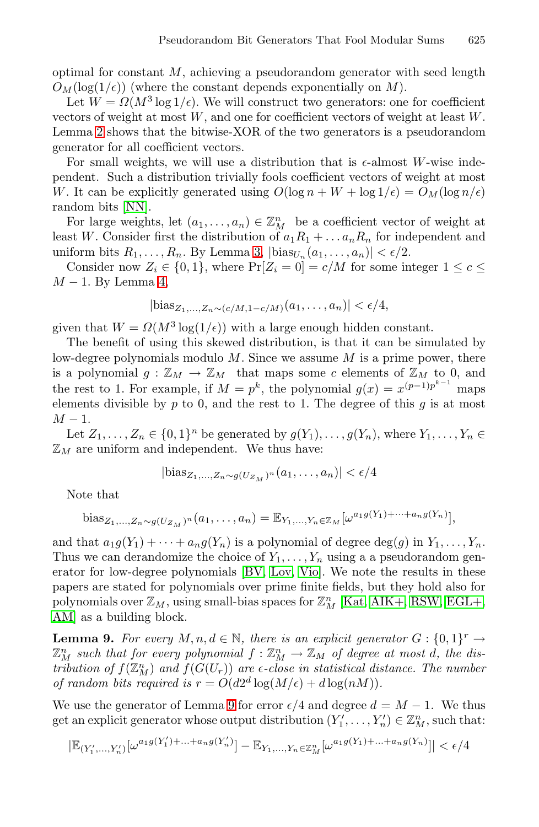optimal for constant  $M$ , achieving a pseudorandom generator with seed length  $O_M(\log(1/\epsilon))$  (where the constant depends exponentially on M).

Let  $W = \Omega(M^3 \log 1/\epsilon)$ . We will construct two generators: one for coefficient vectors of weight at most W, and one for coefficient vectors of weight at least W. Lemma 2 shows t[ha](#page-7-0)t the bitwise-XOR of the two generators is a pseudorandom generator for all coefficient vectors.

For small weights, we will use a distribution that is  $\epsilon$ -almost W-wise inde[pe](#page-8-0)ndent. Such a distribution trivially fools coefficient vectors of weight at most W. It can be explicitly generated using  $O(\log n + W + \log 1/\epsilon) = O_M(\log n/\epsilon)$ random bits [NN].

For large weights, let  $(a_1, \ldots, a_n) \in \mathbb{Z}_{M}^n$  be a coefficient vector of weight at least W. Consider first the distribution of  $a_1R_1 + \ldots + a_nR_n$  for independent and uniform bits  $R_1,\ldots,R_n$ . By Lemma 3,  $|\text{bias}_{U_n}(a_1,\ldots,a_n)| < \epsilon/2$ .

Consider now  $Z_i \in \{0,1\}$ , where  $Pr[Z_i = 0] = c/M$  for some integer  $1 \leq c \leq$  $M-1$ . By Lemma 4,

$$
|\text{bias}_{Z_1,...,Z_n \sim (c/M,1-c/M)}(a_1,...,a_n)| < \epsilon/4,
$$

given that  $W = \Omega(M^3 \log(1/\epsilon))$  with a large enough hidden constant.

The benefit of using this skewed distribution, is that it can be simulated by low-degree polynomials modulo  $M$ . Since we assume  $M$  is a prime power, there is a polynomial  $g: \mathbb{Z}_M \to \mathbb{Z}_M$  that maps some c elements of  $\mathbb{Z}_M$  to 0, and the rest to 1. For example, if  $M = p^k$ , the polynomial  $g(x) = x^{(p-1)p^{k-1}}$  maps elements divisible by  $p$  to 0, and the rest to 1. The degree of this  $q$  is at most  $M-1$ .

Let  $Z_1, \ldots, Z_n \in \{0,1\}^n$  be generated by  $g(Y_1), \ldots, g(Y_n)$ , where  $Y_1, \ldots, Y_n \in$  $\mathbb{Z}_M$  are uniform [and](#page-14-5) [inde](#page-14-6)[pend](#page-15-7)ent. We thus have:

$$
|\text{bias}_{Z_1,\ldots,Z_n \sim g(U_{Z_M})^n}(a_1,\ldots,a_n)| < \epsilon/4
$$

Note that

bias<sub>Z<sub>1</sub>,...,Z<sub>n</sub>~
$$
g(U_{Z_M})^n(a_1,...,a_n) = \mathbb{E}_{Y_1,...,Y_n \in \mathbb{Z}_M} [\omega^{a_1 g(Y_1) + \cdots + a_n g(Y_n)}],
$$</sub>

<span id="page-10-0"></span>and that  $a_1g(Y_1) + \cdots + a_ng(Y_n)$  is a polynomial of degree  $\deg(g)$  in  $Y_1, \ldots, Y_n$ . Thus we can derandomize the choice of  $Y_1, \ldots, Y_n$  using a a pseudorandom generator for low-degree polynomials [BV, Lov, Vio]. We note the results in these papers are st[at](#page-10-0)ed for polynomials over prime finite fields, but they hold also for polynomials over  $\mathbb{Z}_M$ , using small-bias spaces for  $\mathbb{Z}_M^n$  [Kat, AIK+, RSW, EGL+, AM] as a building block.

**Lemma 9.** *For every*  $M, n, d \in \mathbb{N}$ , *there is an explicit generator*  $G: \{0, 1\}^r \rightarrow$  $\mathbb{Z}_M^n$  such that for every polynomial  $f: \mathbb{Z}_M^n \to \mathbb{Z}_M$  of degree at most d, the dis*tribution of*  $f(\mathbb{Z}_M^n)$  and  $f(G(U_r))$  are  $\epsilon$ -close in statistical distance. The number *of random bits required is*  $r = O(d2^d \log(M/\epsilon) + d \log(nM)).$ 

We use the generator of Lemma 9 for error  $\epsilon/4$  and degree  $d = M - 1$ . We thus get an explicit generator whose output distribution  $(Y'_1, \ldots, Y'_n) \in \mathbb{Z}_{M}^n$ , such that:

$$
|\mathbb{E}_{(Y'_1,\ldots,Y'_n)}[\omega^{a_1 g(Y'_1)+\ldots+a_n g(Y'_n)}]-\mathbb{E}_{Y_1,\ldots,Y_n\in\mathbb{Z}_M^n}[\omega^{a_1 g(Y_1)+\ldots+a_n g(Y_n)}]|<\epsilon/4
$$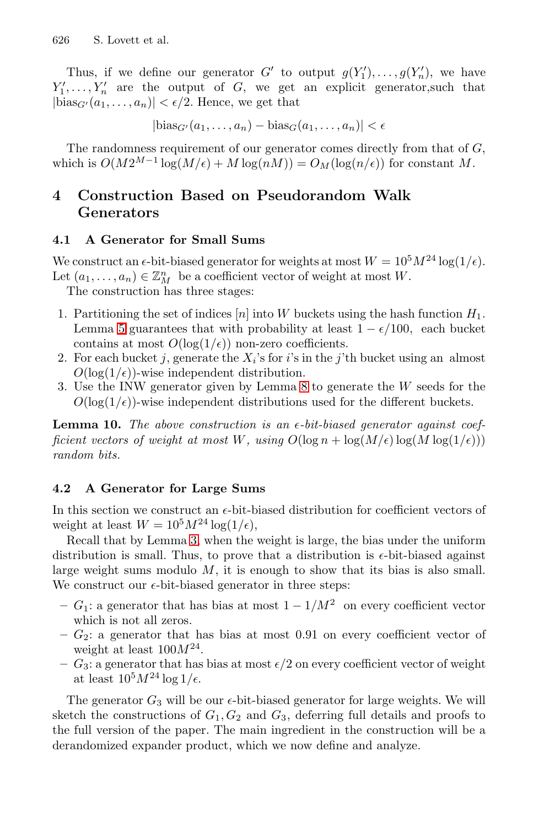Thus, if we define our generator G' to output  $g(Y_1'), \ldots, g(Y_n')$ , we have  $Y'_1, \ldots, Y'_n$  are the output of G, we get an explicit generator, such that  $|\text{bias}_{G'}(a_1,\ldots,a_n)| < \epsilon/2$ . Hence, we get that

 $|\text{bias}_{G'}(a_1,\ldots,a_n)-\text{bias}_{G}(a_1,\ldots,a_n)| < \epsilon$ 

The randomness requirement of our generator comes directly from that of  $G$ , which is  $O(M2^{M-1} \log(M/\epsilon) + M \log(nM)) = O_M(\log(n/\epsilon))$  for constant M.

# **4 Construction Based on Pseudorandom Walk Generators**

## **4.1 A Generator for Small Sums**

We construct an  $\epsilon$ -bit-biased generator for weights at most  $W = 10^5 M^{24} \log(1/\epsilon)$ . Let  $(a_1, \ldots, a_n) \in \mathbb{Z}_{M}^n$  $(a_1, \ldots, a_n) \in \mathbb{Z}_{M}^n$  $(a_1, \ldots, a_n) \in \mathbb{Z}_{M}^n$  be a [c](#page-9-0)oefficient vector of weight at most W.

The construction has three stages:

- 1. Partitioning the set of indices  $[n]$  into W buckets using the hash function  $H_1$ . Lemma 5 guarantees that with probability at least  $1 - \epsilon/100$ , each bucket contains at most  $O(\log(1/\epsilon))$  non-zero coefficients.
- 2. For each bucket j, generate the  $X_i$ 's for i's in the j'th bucket using an almost  $O(\log(1/\epsilon))$ -wise independent distribution.
- 3. Use the INW generator given by Lemma 8 to generate the W seeds for the  $O(\log(1/\epsilon))$ -wise independent distributions used for the different buckets.

**Lem[ma](#page-7-0) 10.** *The above construction is an -bit-biased generator against coefficient vectors of weight at most* W, using  $O(\log n + \log(M/\epsilon) \log(M \log(1/\epsilon)))$ *random bits.*

#### **4.2 A Generator for Large Sums**

In this section we construct an  $\epsilon$ -bit-biased distribution for coefficient vectors of weight at least  $W = 10^5 M^{24} \log(1/\epsilon)$ ,

Recall that by Lemma 3, when the weight is large, the bias under the uniform distribution is small. Thus, to prove that a distribution is  $\epsilon$ -bit-biased against large weight sums modulo  $M$ , it is enough to show that its bias is also small. We construct our  $\epsilon$ -bit-biased generator in three steps:

- **–**  $G_1$ : a generator that has bias at most  $1 1/M^2$  on every coefficient vector which is not all zeros.
- $G_2$ : a generator that has bias at most 0.91 on every coefficient vector of weight at least  $100M^{24}$ .
- $-$  G<sub>3</sub>: a generator that has bias at most  $\epsilon/2$  on every coefficient vector of weight at least  $10^5 M^{24} \log 1/\epsilon$ .

The generator  $G_3$  will be our  $\epsilon$ -bit-biased generator for large weights. We will sketch the constructions of  $G_1, G_2$  and  $G_3$ , deferring full details and proofs to the full version of the paper. The main ingredient in the construction will be a derandomized expander product, which we now define and analyze.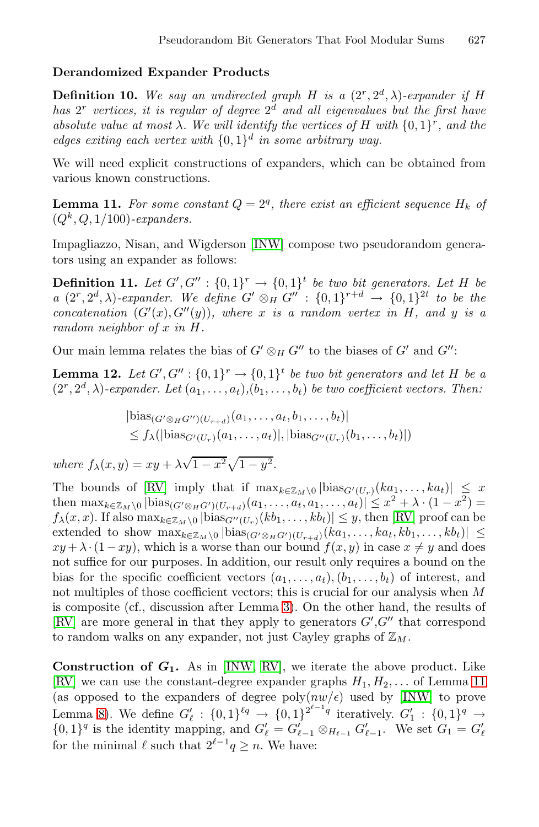## <span id="page-12-0"></span>**Derandomized Expander Products**

**Definition 10.** We say an undirected graph H is a  $(2^r, 2^d, \lambda)$ -expander if H *has*  $2^r$  *vertices, it is regular of degree*  $2^d$  *and all eigenvalues but the first have absolute value at [most](#page-14-1)*  $\lambda$ *. We will identify the vertices of* H with  $\{0, 1\}^r$ *, and the edges exiting each vertex with* {0, 1}<sup>d</sup> *in some arbitrary way.*

We will need explicit constructions of expanders, which can be obtained from various known constructions.

**Lemma 11.** For some constant  $Q = 2<sup>q</sup>$ , there exist an efficient sequence  $H_k$  of  $(Q<sup>k</sup>, Q, 1/100)$ *-expanders.* 

Impagliazzo, Nisan, and Wigderson [INW] compose two pseudorandom generators using an expander as follows:

**Definition 11.** Let  $G', G'' : \{0,1\}^r \rightarrow \{0,1\}^t$  be two bit generators. Let H be *a*  $(2^r, 2^d, \lambda)$ -expander. We define  $G' \otimes_H G'' : \{0,1\}^{r+d} \to \{0,1\}^{2t}$  to be the *concatenation*  $(G'(x), G''(y))$ *, where* x *is a random vertex in* H, and y *is a random neighbor of* x *in* H*.*

Our main lemma relates the bias of  $G' \otimes_H G''$  to the biases of  $G'$  and  $G''$ :

**[Le](#page-15-2)mma 12.** *Let*  $G', G'' : \{0,1\}^r \rightarrow \{0,1\}^t$  *be two bit generators and let*  $H$  *be a*  $(2^r, 2^d, \lambda)$ -expander. Le[t](#page-15-2)  $(a_1, \ldots, a_t)$ ,  $(b_1, \ldots, b_t)$  *be two coefficient vectors. Then:* 

$$
|\text{bias}_{(G' \otimes_H G'')(U_{r+d})}(a_1,\ldots,a_t,b_1,\ldots,b_t)|
$$
  
\$\leq f\_\lambda(|\text{bias}\_{G'(U\_r)}(a\_1,\ldots,a\_t)|, |\text{bias}\_{G''(U\_r)}(b\_1,\ldots,b\_t)|\$

*where*  $f_{\lambda}(x, y) = xy + \lambda \sqrt{1 - x^2} \sqrt{1 - y^2}$ .

The bounds of [RV] i[m](#page-7-0)ply that if  $\max_{k \in \mathbb{Z}_M \setminus 0} |\text{bias}_{G'(U_r)}(ka_1,\ldots, ka_t)| \leq x$ then  $\max_{k \in \mathbb{Z}_M \setminus 0} |\text{bias}_{(G' \otimes_H G')(U_{r+d})}(a_1, \ldots, a_t, a_1, \ldots, a_t)| \leq x^2 + \lambda \cdot (1 - x^2) =$  $f_{\lambda}(x, x)$ . If also  $\max_{k \in \mathbb{Z}_M \setminus 0} |\text{bias}_{G''(U_r)}(kb_1, \ldots, kb_t)| \leq y$ , then [RV] proof can be extended to show  $\max_{k \in \mathbb{Z}_M \setminus 0} |\text{bias}_{(G' \otimes_H G')(U_{r+d})}(ka_1, \ldots, ka_t, kb_1, \ldots, kb_t)| \leq$  $xy + \lambda \cdot (1 - xy)$ , w[hich](#page-15-2) is a worse than our bound  $f(x, y)$  in case  $x \neq y$  and does not suffice for our purposes. In addition, our result only re[qui](#page-12-0)res a bound on the bias for the specific coefficient vectors  $(a_1,\ldots,a_t), (b_1,\ldots,b_t)$  of interest, and not multiples of those coefficient vectors; this is crucial for our analysis when M is composite (cf., discussion after Lemma 3). On the other hand, the results of [RV] are more general in that they apply to generators  $G', G''$  that correspond to random walks on any expander, not just Cayley graphs of  $\mathbb{Z}_M$ .

**Construction of**  $G_1$ **.** As in [INW, RV], we iterate the above product. Like [RV] we can use the constant-degree expander graphs  $H_1, H_2, \ldots$  of Lemma 11 (as opposed to the expanders of degree  $\text{poly}(nw/\epsilon)$  used by [INW] to prove Lemma 8). We define  $G'_{\ell} : \{0,1\}^{\ell q} \to \{0,1\}^{2^{\ell-1}q}$  iteratively.  $G'_{1} : \{0,1\}^{q} \to$  $\{0,1\}^q$  is the identity mapping, and  $G'_{\ell} = G'_{\ell-1} \otimes_{H_{\ell-1}} G'_{\ell-1}$ . We set  $G_1 = G'_{\ell}$ for the minimal  $\ell$  such that  $2^{\ell-1}q \geq n$ . We have: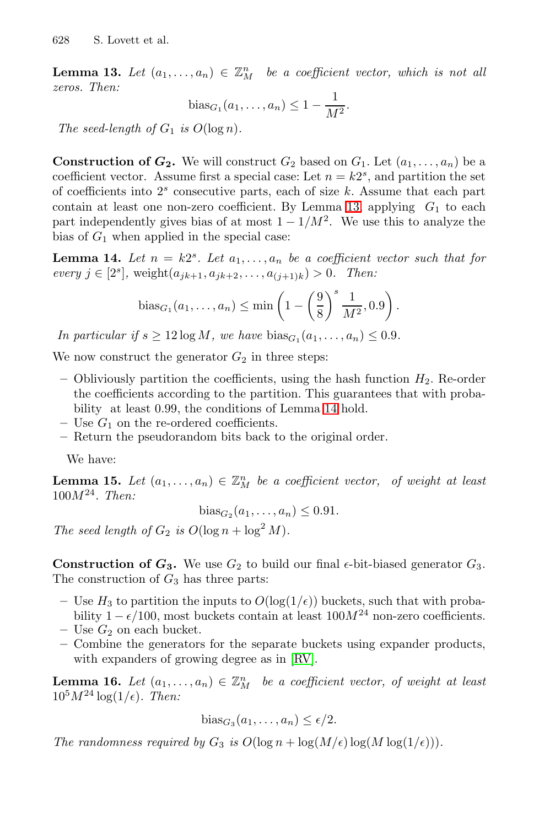**Lemma 13.** Let  $(a_1, \ldots, a_n) \in \mathbb{Z}_M^n$  be a coefficient vector, which is not all *zeros. Then:*

bias<sub>G<sub>1</sub></sub>(a<sub>1</sub>,..., a<sub>n</sub>) 
$$
\leq 1 - \frac{1}{M^2}
$$
.

*The seed-length of*  $G_1$  *is*  $O(\log n)$ *.* 

**Construction of**  $G_2$ **.** We will construct  $G_2$  based on  $G_1$ . Let  $(a_1, \ldots, a_n)$  be a coefficient vector. Assume first a special case: Let  $n = k2<sup>s</sup>$ , and partition the set of coefficients into  $2<sup>s</sup>$  consecutive parts, each of size k. Assume that each part contain at least one non-zero coefficient. By Lemma 13, applying  $G_1$  to each part independently gives bias of at most  $1 - 1/M^2$ . We use this to analyze the bias of  $G_1$  when applied in the special case:

**Lemma 14.** Let  $n = k2^s$ . Let  $a_1, \ldots, a_n$  be a coefficient vector such that for *every*  $j \in [2^s]$ , weight $(a_{jk+1}, a_{jk+2},...,a_{(j+1)k}) > 0$ . Then:

bias<sub>G<sub>1</sub></sub>
$$
(a_1,..., a_n) \le \min\left(1 - \left(\frac{9}{8}\right)^s \frac{1}{M^2}, 0.9\right).
$$

*In particular if*  $s \ge 12 \log M$ , we have  $bias_{G_1}(a_1,\ldots,a_n) \le 0.9$ .

We now construct the generator  $G_2$  in three steps:

- Obliviously partition the coefficients, using the hash function  $H_2$ . Re-order the coefficients according to the partition. This guarantees that with probability at least 0.99, the conditions of Lemma 14 hold.
- $-$  Use  $G_1$  on the re-ordered coefficients.
- **–** Return the pseudorandom bits back to the original order.

We have:

**Lemma 15.** Let  $(a_1, \ldots, a_n) \in \mathbb{Z}_M^n$  be a coefficient vector, of weight at least 100M<sup>24</sup>*. Then:*

$$
bias_{G_2}(a_1,\ldots,a_n) \leq 0.91.
$$

*The seed length of*  $G_2$  *is*  $O(\log n + \log^2 M)$ *.* 

**Construction of**  $G_3$ **. We use**  $G_2$  **to build our final**  $\epsilon$ **-bit-biased generator**  $G_3$ **.** The construction of  $G_3$  has three parts:

- Use  $H_3$  to partition the inputs to  $O(\log(1/\epsilon))$  buckets, such that with probability  $1 - \epsilon/100$ , most buckets contain at least  $100M^{24}$  non-zero coefficients.
- $-$  Use  $G_2$  on each bucket.
- **–** Combine the generators for the separate buckets using expander products, with expanders of growing degree as in [RV].

**Lemma 16.** Let  $(a_1, \ldots, a_n) \in \mathbb{Z}_M^n$  be a coefficient vector, of weight at least  $10^5 M^{24} \log(1/\epsilon)$ *. Then:* 

$$
bias_{G_3}(a_1,\ldots,a_n) \leq \epsilon/2.
$$

*The randomness required by*  $G_3$  *is*  $O(\log n + \log(M/\epsilon))\log(M \log(1/\epsilon))$ .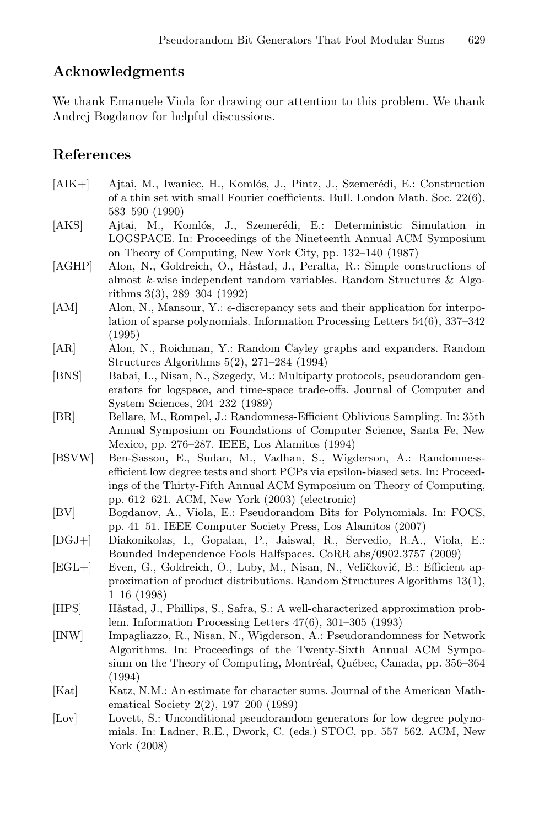# **Acknowledgments**

We thank Emanuele Viola for drawing our attention to this problem. We thank Andrej Bogdanov for helpful discussions.

# **References**

- <span id="page-14-8"></span>[AIK+] Ajtai, M., Iwaniec, H., Komlós, J., Pintz, J., Szemerédi, E.: Construction of a thin set with small Fourier coefficients. Bull. London Math. Soc. 22(6), 583–590 (1990)
- [AKS] Ajtai, M., Komlós, J., Szemerédi, E.: Deterministic Simulation in LOGSPACE. In: Proceedings of the Nineteenth Annual ACM Symposium on Theory of Computing, New York City, pp. 132–140 (1987)
- <span id="page-14-11"></span>[AGHP] Alon, N., Goldreich, O., Håstad, J., Peralta, R.: Simple constructions of almost k-wise independent random variables. Random Structures & Algorithms 3(3), 289–304 (1992)
- <span id="page-14-2"></span>[AM] Alon, N., Mansour, Y.:  $\epsilon$ -discrepancy sets and their application for interpo-<br>lation of sparse polynomials. Information Processing Letters 54(6) 337–342 lation of sparse polynomials. Information Processing Letters 54(6), 337–342 (1995)
- <span id="page-14-3"></span>[AR] Alon, N., Roichman, Y.: Random Cayley graphs and expanders. Random Structures Algorithms 5(2), 271–284 (1994)
- <span id="page-14-0"></span>[BNS] Babai, L., Nisan, N., Szegedy, M.: Multiparty protocols, pseudorandom generators for logspace, and time-space trade-offs. Journal of Computer and System Sciences, 204–232 (1989)
- <span id="page-14-12"></span>[BR] Bellare, M., Rompel, J.: Randomness-Efficient Oblivious Sampling. In: 35th Annual Symposium on Foundations of Computer Science, Santa Fe, New Mexico, pp. 276–287. IEEE, Los Alamitos (1994)
- <span id="page-14-4"></span>[BSVW] Ben-Sasson, E., Sudan, M., Vadhan, S., Wigderson, A.: Randomnessefficient low degree tests and short PCPs via epsilon-biased sets. In: Proceedings of the Thirty-Fifth Annual ACM Symposium on Theory of Computing, pp. 612–621. ACM, New York (2003) (electronic)
- <span id="page-14-5"></span>[BV] Bogdanov, A., Viola, E.: Pseudorandom Bits for Polynomials. In: FOCS, pp. 41–51. IEEE Computer Society Press, Los Alamitos (2007)
- <span id="page-14-10"></span>[DGJ+] Diakonikolas, I., Gopalan, P., Jaiswal, R., Servedio, R.A., Viola, E.: Bounded Independence Fools Halfspaces. CoRR abs/0902.3757 (2009)
- <span id="page-14-9"></span>[EGL+] Even, G., Goldreich, O., Luby, M., Nisan, N., Veličković, B.: Efficient approximation of product distributions. Random Structures Algorithms 13(1), 1–16 (1998)
- [HPS] Håstad, J., Phillips, S., Safra, S.: A well-characterized approximation problem. Information Processing Letters 47(6), 301–305 (1993)
- <span id="page-14-1"></span>[INW] Impagliazzo, R., Nisan, N., Wigderson, A.: Pseudorandomness for Network Algorithms. In: Proceedings of the Twenty-Sixth Annual ACM Symposium on the Theory of Computing, Montréal, Québec, Canada, pp. 356–364 (1994)
- <span id="page-14-7"></span>[Kat] Katz, N.M.: An estimate for character sums. Journal of the American Mathematical Society 2(2), 197–200 (1989)
- <span id="page-14-6"></span>[Lov] Lovett, S.: Unconditional pseudorandom generators for low degree polynomials. In: Ladner, R.E., Dwork, C. (eds.) STOC, pp. 557–562. ACM, New York (2008)